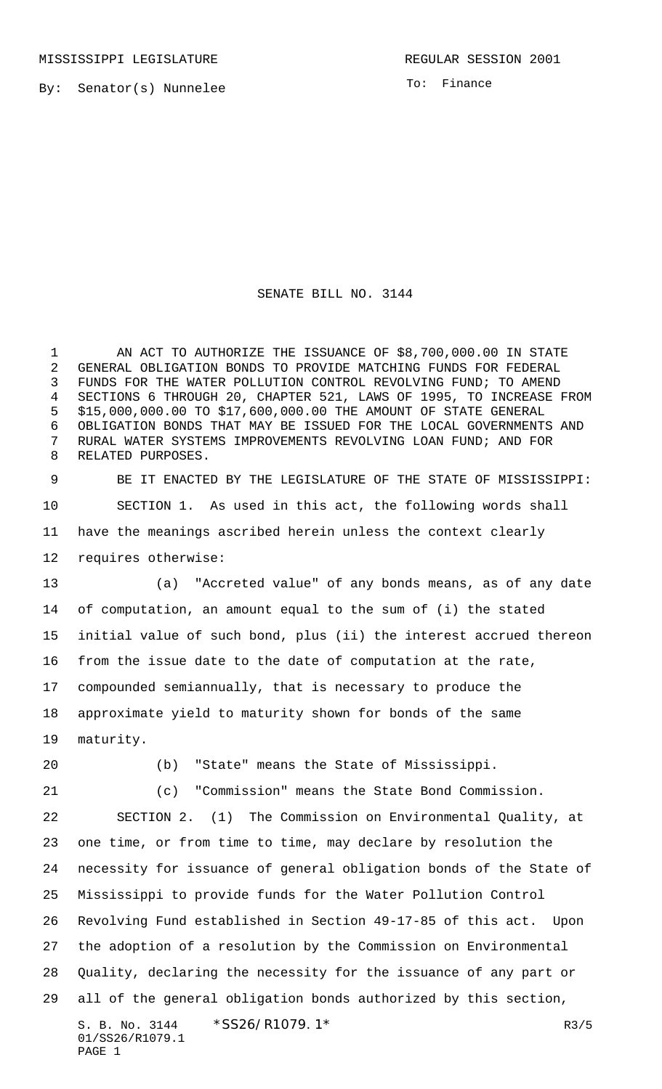MISSISSIPPI LEGISLATURE **REGULAR SESSION 2001** 

By: Senator(s) Nunnelee

To: Finance

## SENATE BILL NO. 3144

 AN ACT TO AUTHORIZE THE ISSUANCE OF \$8,700,000.00 IN STATE GENERAL OBLIGATION BONDS TO PROVIDE MATCHING FUNDS FOR FEDERAL FUNDS FOR THE WATER POLLUTION CONTROL REVOLVING FUND; TO AMEND SECTIONS 6 THROUGH 20, CHAPTER 521, LAWS OF 1995, TO INCREASE FROM \$15,000,000.00 TO \$17,600,000.00 THE AMOUNT OF STATE GENERAL OBLIGATION BONDS THAT MAY BE ISSUED FOR THE LOCAL GOVERNMENTS AND RURAL WATER SYSTEMS IMPROVEMENTS REVOLVING LOAN FUND; AND FOR RELATED PURPOSES.

 BE IT ENACTED BY THE LEGISLATURE OF THE STATE OF MISSISSIPPI: SECTION 1. As used in this act, the following words shall have the meanings ascribed herein unless the context clearly requires otherwise:

 (a) "Accreted value" of any bonds means, as of any date of computation, an amount equal to the sum of (i) the stated initial value of such bond, plus (ii) the interest accrued thereon from the issue date to the date of computation at the rate, compounded semiannually, that is necessary to produce the approximate yield to maturity shown for bonds of the same maturity.

PAGE 1

(b) "State" means the State of Mississippi.

(c) "Commission" means the State Bond Commission.

S. B. No. 3144 \* SS26/R1079. 1\* The contract of the contract of the contract of the contract of the contract of the contract of the contract of the contract of the contract of the contract of the contract of the contract o 01/SS26/R1079.1 SECTION 2. (1) The Commission on Environmental Quality, at one time, or from time to time, may declare by resolution the necessity for issuance of general obligation bonds of the State of Mississippi to provide funds for the Water Pollution Control Revolving Fund established in Section 49-17-85 of this act. Upon the adoption of a resolution by the Commission on Environmental Quality, declaring the necessity for the issuance of any part or all of the general obligation bonds authorized by this section,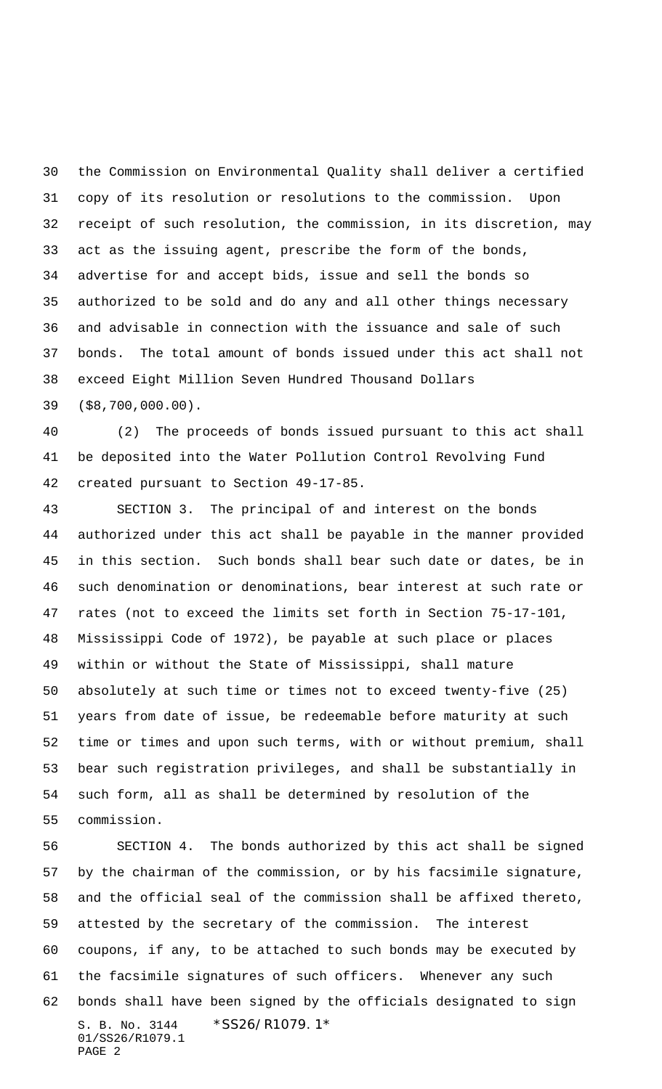the Commission on Environmental Quality shall deliver a certified copy of its resolution or resolutions to the commission. Upon receipt of such resolution, the commission, in its discretion, may act as the issuing agent, prescribe the form of the bonds, advertise for and accept bids, issue and sell the bonds so authorized to be sold and do any and all other things necessary and advisable in connection with the issuance and sale of such bonds. The total amount of bonds issued under this act shall not exceed Eight Million Seven Hundred Thousand Dollars (\$8,700,000.00).

 (2) The proceeds of bonds issued pursuant to this act shall be deposited into the Water Pollution Control Revolving Fund created pursuant to Section 49-17-85.

 SECTION 3. The principal of and interest on the bonds authorized under this act shall be payable in the manner provided in this section. Such bonds shall bear such date or dates, be in such denomination or denominations, bear interest at such rate or rates (not to exceed the limits set forth in Section 75-17-101, Mississippi Code of 1972), be payable at such place or places within or without the State of Mississippi, shall mature absolutely at such time or times not to exceed twenty-five (25) years from date of issue, be redeemable before maturity at such time or times and upon such terms, with or without premium, shall bear such registration privileges, and shall be substantially in such form, all as shall be determined by resolution of the commission.

S. B. No. 3144 \*SS26/R1079.1\* 01/SS26/R1079.1 PAGE 2 SECTION 4. The bonds authorized by this act shall be signed by the chairman of the commission, or by his facsimile signature, and the official seal of the commission shall be affixed thereto, attested by the secretary of the commission. The interest coupons, if any, to be attached to such bonds may be executed by the facsimile signatures of such officers. Whenever any such bonds shall have been signed by the officials designated to sign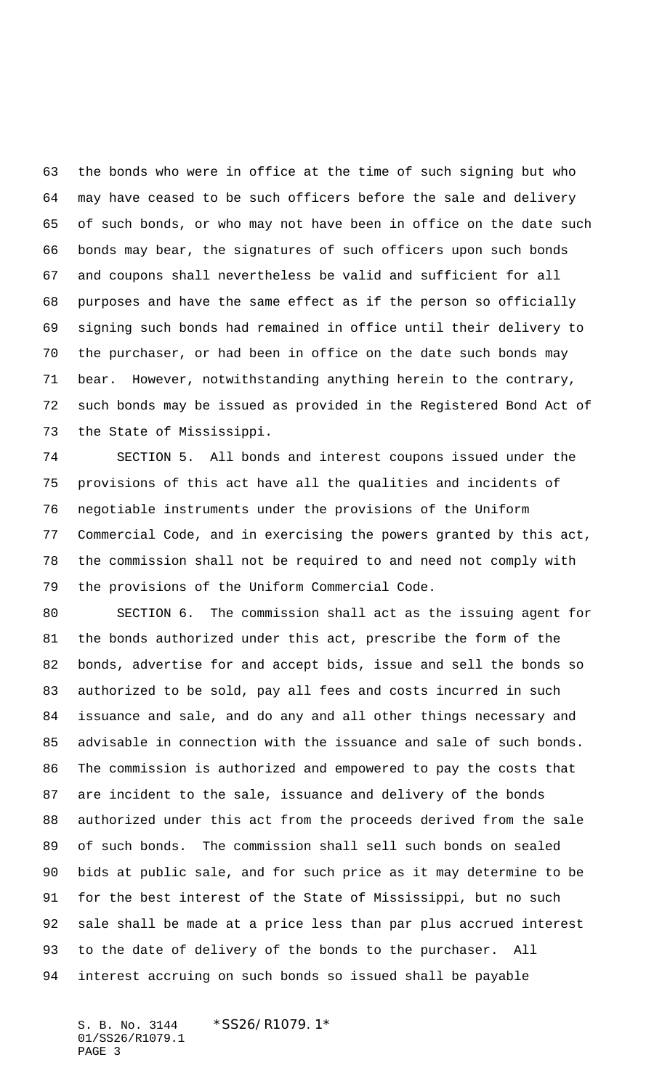the bonds who were in office at the time of such signing but who may have ceased to be such officers before the sale and delivery of such bonds, or who may not have been in office on the date such bonds may bear, the signatures of such officers upon such bonds and coupons shall nevertheless be valid and sufficient for all purposes and have the same effect as if the person so officially signing such bonds had remained in office until their delivery to the purchaser, or had been in office on the date such bonds may bear. However, notwithstanding anything herein to the contrary, such bonds may be issued as provided in the Registered Bond Act of the State of Mississippi.

 SECTION 5. All bonds and interest coupons issued under the provisions of this act have all the qualities and incidents of negotiable instruments under the provisions of the Uniform Commercial Code, and in exercising the powers granted by this act, the commission shall not be required to and need not comply with the provisions of the Uniform Commercial Code.

 SECTION 6. The commission shall act as the issuing agent for the bonds authorized under this act, prescribe the form of the bonds, advertise for and accept bids, issue and sell the bonds so authorized to be sold, pay all fees and costs incurred in such issuance and sale, and do any and all other things necessary and advisable in connection with the issuance and sale of such bonds. The commission is authorized and empowered to pay the costs that are incident to the sale, issuance and delivery of the bonds authorized under this act from the proceeds derived from the sale of such bonds. The commission shall sell such bonds on sealed bids at public sale, and for such price as it may determine to be for the best interest of the State of Mississippi, but no such sale shall be made at a price less than par plus accrued interest to the date of delivery of the bonds to the purchaser. All interest accruing on such bonds so issued shall be payable

S. B. No. 3144 \*SS26/R1079.1\* 01/SS26/R1079.1 PAGE 3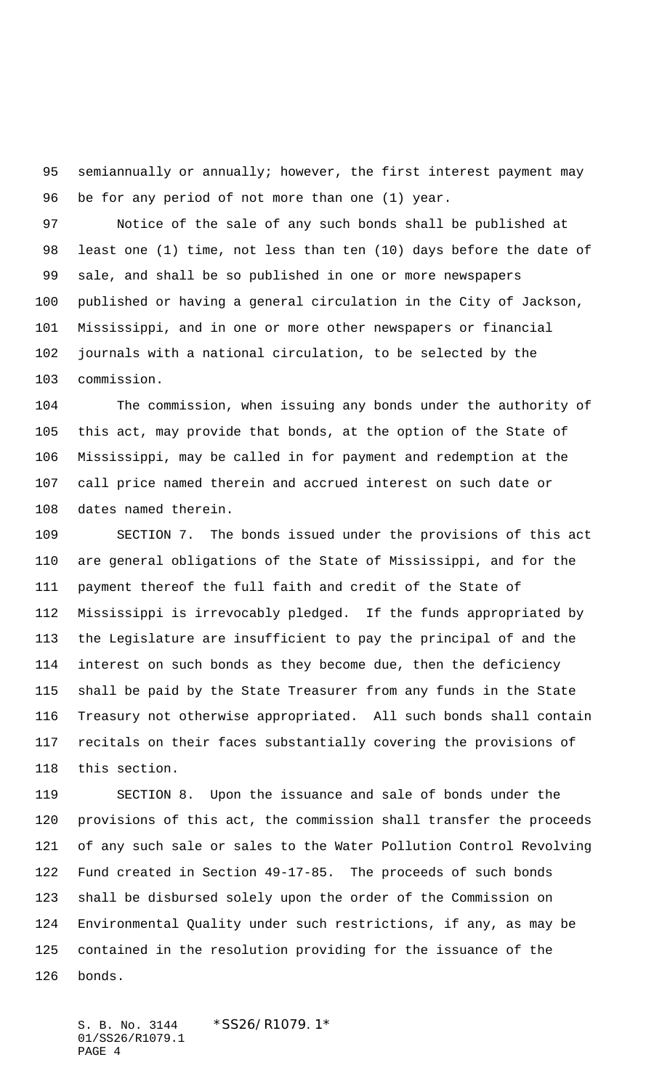95 semiannually or annually; however, the first interest payment may be for any period of not more than one (1) year.

 Notice of the sale of any such bonds shall be published at least one (1) time, not less than ten (10) days before the date of sale, and shall be so published in one or more newspapers published or having a general circulation in the City of Jackson, Mississippi, and in one or more other newspapers or financial journals with a national circulation, to be selected by the commission.

 The commission, when issuing any bonds under the authority of this act, may provide that bonds, at the option of the State of Mississippi, may be called in for payment and redemption at the call price named therein and accrued interest on such date or dates named therein.

 SECTION 7. The bonds issued under the provisions of this act are general obligations of the State of Mississippi, and for the payment thereof the full faith and credit of the State of Mississippi is irrevocably pledged. If the funds appropriated by the Legislature are insufficient to pay the principal of and the interest on such bonds as they become due, then the deficiency shall be paid by the State Treasurer from any funds in the State Treasury not otherwise appropriated. All such bonds shall contain recitals on their faces substantially covering the provisions of this section.

 SECTION 8. Upon the issuance and sale of bonds under the provisions of this act, the commission shall transfer the proceeds of any such sale or sales to the Water Pollution Control Revolving Fund created in Section 49-17-85. The proceeds of such bonds shall be disbursed solely upon the order of the Commission on Environmental Quality under such restrictions, if any, as may be contained in the resolution providing for the issuance of the bonds.

S. B. No. 3144 \*SS26/R1079.1\* 01/SS26/R1079.1 PAGE 4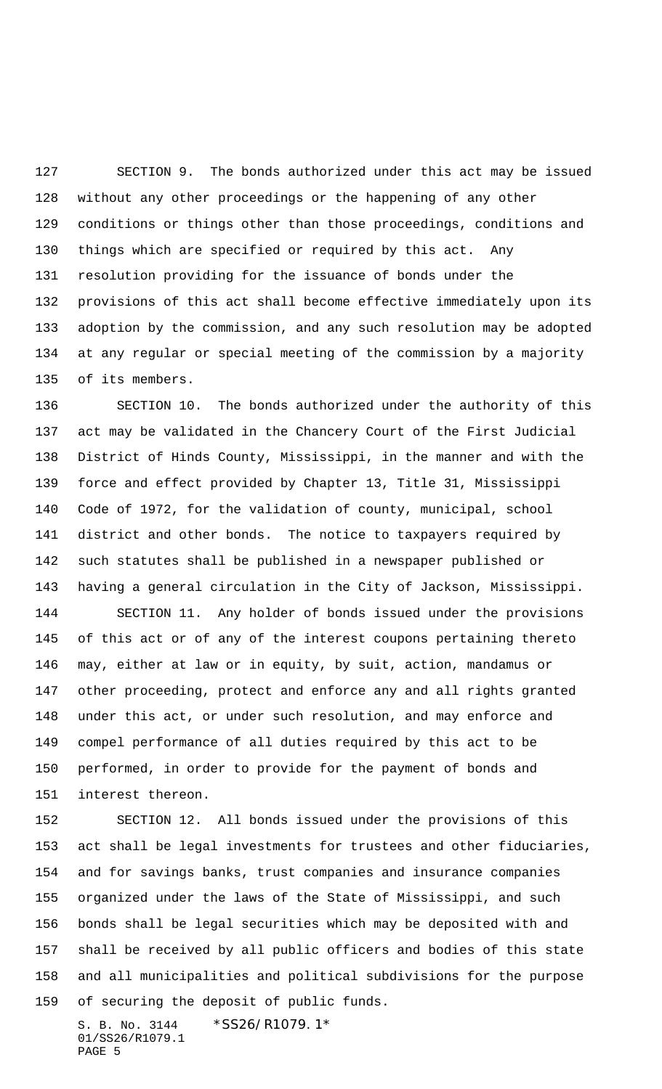SECTION 9. The bonds authorized under this act may be issued without any other proceedings or the happening of any other conditions or things other than those proceedings, conditions and things which are specified or required by this act. Any resolution providing for the issuance of bonds under the provisions of this act shall become effective immediately upon its adoption by the commission, and any such resolution may be adopted at any regular or special meeting of the commission by a majority of its members.

 SECTION 10. The bonds authorized under the authority of this act may be validated in the Chancery Court of the First Judicial District of Hinds County, Mississippi, in the manner and with the force and effect provided by Chapter 13, Title 31, Mississippi Code of 1972, for the validation of county, municipal, school district and other bonds. The notice to taxpayers required by such statutes shall be published in a newspaper published or having a general circulation in the City of Jackson, Mississippi.

 SECTION 11. Any holder of bonds issued under the provisions of this act or of any of the interest coupons pertaining thereto may, either at law or in equity, by suit, action, mandamus or other proceeding, protect and enforce any and all rights granted under this act, or under such resolution, and may enforce and compel performance of all duties required by this act to be performed, in order to provide for the payment of bonds and interest thereon.

 SECTION 12. All bonds issued under the provisions of this act shall be legal investments for trustees and other fiduciaries, and for savings banks, trust companies and insurance companies organized under the laws of the State of Mississippi, and such bonds shall be legal securities which may be deposited with and shall be received by all public officers and bodies of this state and all municipalities and political subdivisions for the purpose of securing the deposit of public funds.

S. B. No. 3144 \*SS26/R1079.1\* 01/SS26/R1079.1 PAGE 5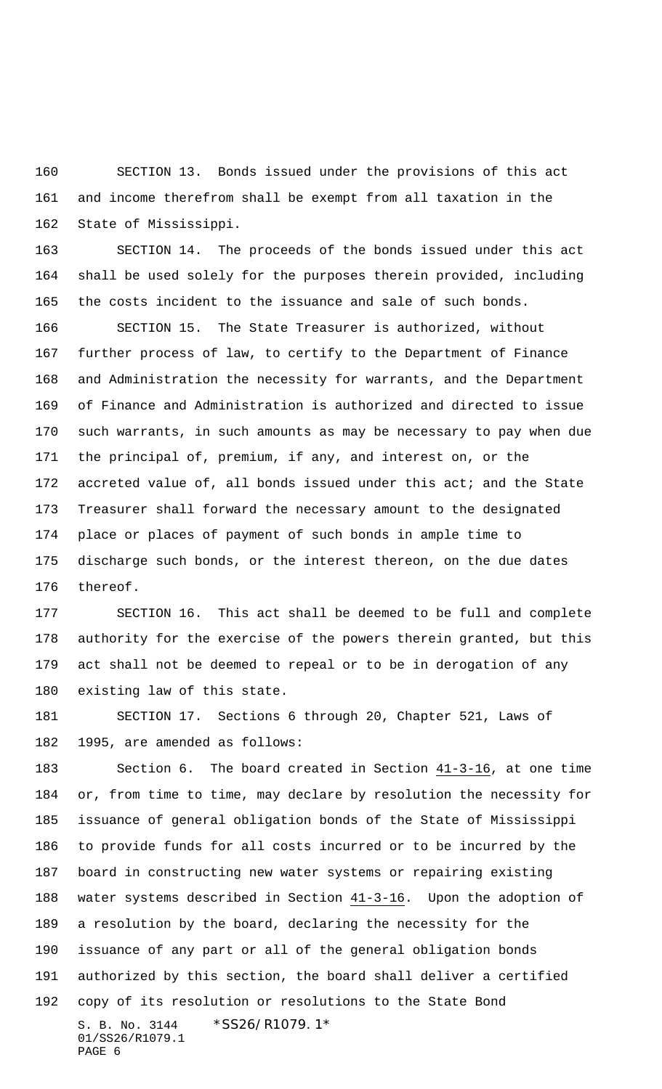SECTION 13. Bonds issued under the provisions of this act and income therefrom shall be exempt from all taxation in the State of Mississippi.

 SECTION 14. The proceeds of the bonds issued under this act shall be used solely for the purposes therein provided, including the costs incident to the issuance and sale of such bonds.

 SECTION 15. The State Treasurer is authorized, without further process of law, to certify to the Department of Finance and Administration the necessity for warrants, and the Department of Finance and Administration is authorized and directed to issue such warrants, in such amounts as may be necessary to pay when due the principal of, premium, if any, and interest on, or the 172 accreted value of, all bonds issued under this act; and the State Treasurer shall forward the necessary amount to the designated place or places of payment of such bonds in ample time to discharge such bonds, or the interest thereon, on the due dates thereof.

 SECTION 16. This act shall be deemed to be full and complete authority for the exercise of the powers therein granted, but this act shall not be deemed to repeal or to be in derogation of any existing law of this state.

 SECTION 17. Sections 6 through 20, Chapter 521, Laws of 1995, are amended as follows:

S. B. No. 3144 \*SS26/R1079.1\* 01/SS26/R1079.1 PAGE 6 Section 6. The board created in Section 41-3-16, at one time or, from time to time, may declare by resolution the necessity for issuance of general obligation bonds of the State of Mississippi to provide funds for all costs incurred or to be incurred by the board in constructing new water systems or repairing existing water systems described in Section 41-3-16. Upon the adoption of a resolution by the board, declaring the necessity for the issuance of any part or all of the general obligation bonds authorized by this section, the board shall deliver a certified copy of its resolution or resolutions to the State Bond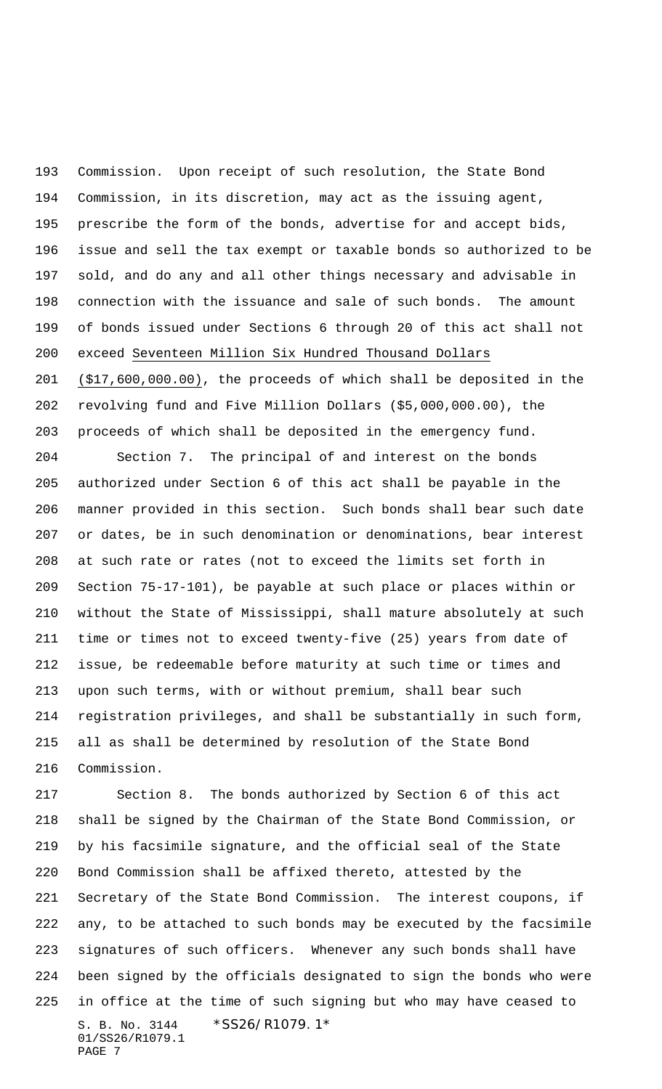Commission. Upon receipt of such resolution, the State Bond Commission, in its discretion, may act as the issuing agent, prescribe the form of the bonds, advertise for and accept bids, issue and sell the tax exempt or taxable bonds so authorized to be sold, and do any and all other things necessary and advisable in connection with the issuance and sale of such bonds. The amount of bonds issued under Sections 6 through 20 of this act shall not exceed Seventeen Million Six Hundred Thousand Dollars

 (\$17,600,000.00), the proceeds of which shall be deposited in the revolving fund and Five Million Dollars (\$5,000,000.00), the proceeds of which shall be deposited in the emergency fund.

 Section 7. The principal of and interest on the bonds authorized under Section 6 of this act shall be payable in the manner provided in this section. Such bonds shall bear such date or dates, be in such denomination or denominations, bear interest at such rate or rates (not to exceed the limits set forth in Section 75-17-101), be payable at such place or places within or without the State of Mississippi, shall mature absolutely at such time or times not to exceed twenty-five (25) years from date of issue, be redeemable before maturity at such time or times and upon such terms, with or without premium, shall bear such registration privileges, and shall be substantially in such form, all as shall be determined by resolution of the State Bond Commission.

S. B. No. 3144 \*SS26/R1079.1\* 01/SS26/R1079.1 PAGE 7 Section 8. The bonds authorized by Section 6 of this act shall be signed by the Chairman of the State Bond Commission, or by his facsimile signature, and the official seal of the State Bond Commission shall be affixed thereto, attested by the Secretary of the State Bond Commission. The interest coupons, if any, to be attached to such bonds may be executed by the facsimile signatures of such officers. Whenever any such bonds shall have been signed by the officials designated to sign the bonds who were in office at the time of such signing but who may have ceased to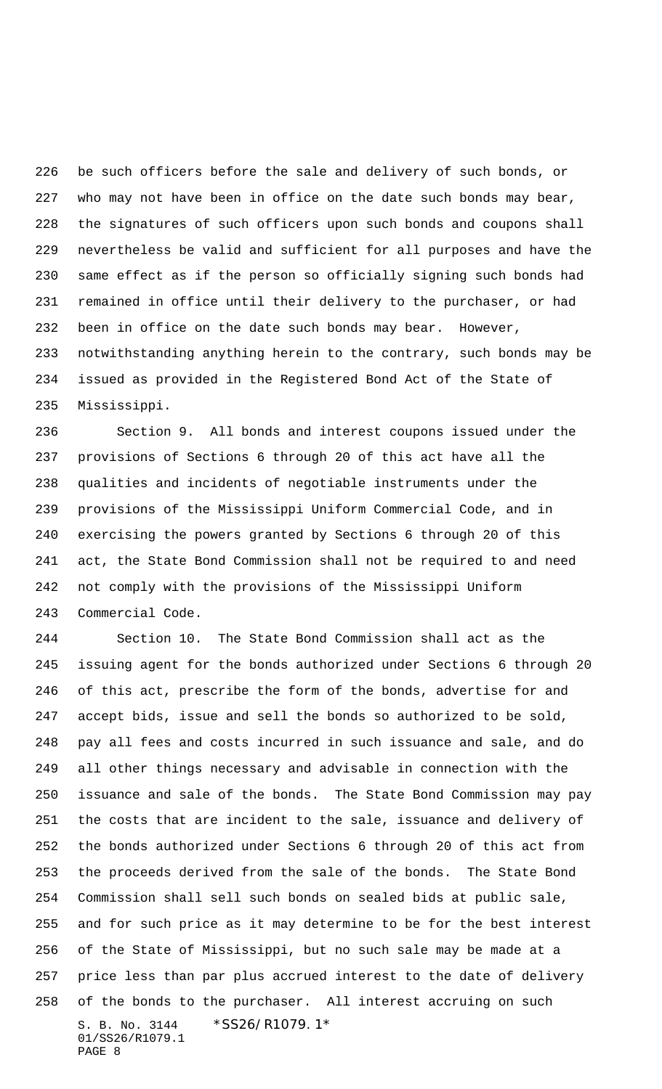be such officers before the sale and delivery of such bonds, or who may not have been in office on the date such bonds may bear, the signatures of such officers upon such bonds and coupons shall nevertheless be valid and sufficient for all purposes and have the same effect as if the person so officially signing such bonds had remained in office until their delivery to the purchaser, or had been in office on the date such bonds may bear. However, notwithstanding anything herein to the contrary, such bonds may be issued as provided in the Registered Bond Act of the State of Mississippi.

 Section 9. All bonds and interest coupons issued under the provisions of Sections 6 through 20 of this act have all the qualities and incidents of negotiable instruments under the provisions of the Mississippi Uniform Commercial Code, and in exercising the powers granted by Sections 6 through 20 of this act, the State Bond Commission shall not be required to and need not comply with the provisions of the Mississippi Uniform Commercial Code.

S. B. No. 3144 \* SS26/R1079.1\* 01/SS26/R1079.1 PAGE 8 Section 10. The State Bond Commission shall act as the issuing agent for the bonds authorized under Sections 6 through 20 of this act, prescribe the form of the bonds, advertise for and accept bids, issue and sell the bonds so authorized to be sold, pay all fees and costs incurred in such issuance and sale, and do all other things necessary and advisable in connection with the issuance and sale of the bonds. The State Bond Commission may pay the costs that are incident to the sale, issuance and delivery of the bonds authorized under Sections 6 through 20 of this act from the proceeds derived from the sale of the bonds. The State Bond Commission shall sell such bonds on sealed bids at public sale, and for such price as it may determine to be for the best interest of the State of Mississippi, but no such sale may be made at a price less than par plus accrued interest to the date of delivery of the bonds to the purchaser. All interest accruing on such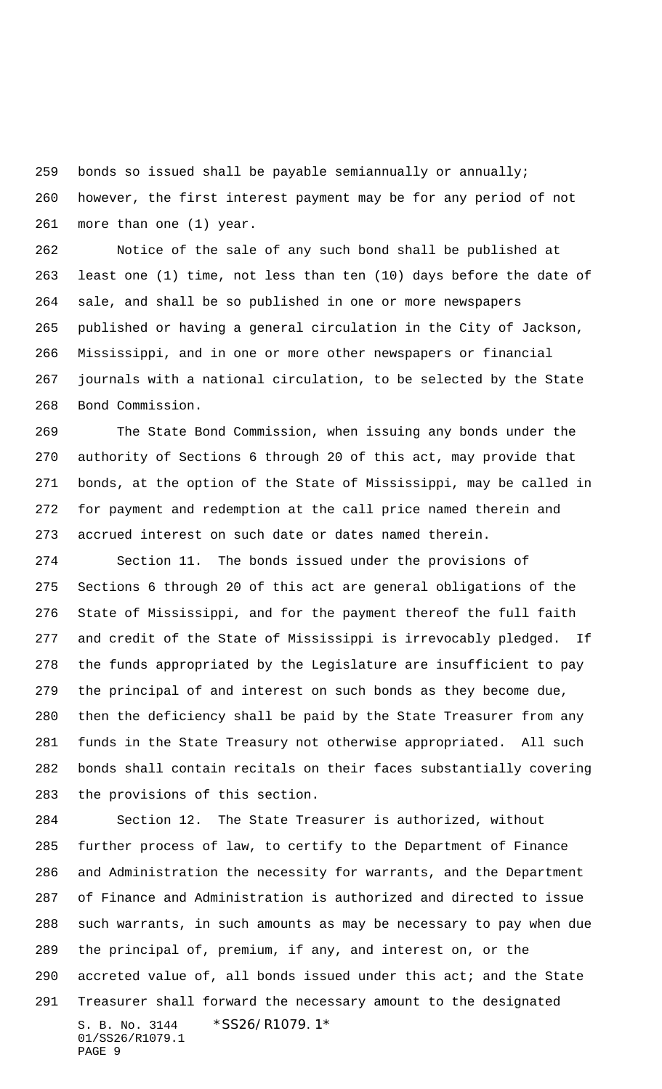bonds so issued shall be payable semiannually or annually;

 however, the first interest payment may be for any period of not more than one (1) year.

 Notice of the sale of any such bond shall be published at least one (1) time, not less than ten (10) days before the date of sale, and shall be so published in one or more newspapers published or having a general circulation in the City of Jackson, Mississippi, and in one or more other newspapers or financial journals with a national circulation, to be selected by the State Bond Commission.

 The State Bond Commission, when issuing any bonds under the authority of Sections 6 through 20 of this act, may provide that bonds, at the option of the State of Mississippi, may be called in for payment and redemption at the call price named therein and accrued interest on such date or dates named therein.

 Section 11. The bonds issued under the provisions of Sections 6 through 20 of this act are general obligations of the State of Mississippi, and for the payment thereof the full faith and credit of the State of Mississippi is irrevocably pledged. If the funds appropriated by the Legislature are insufficient to pay the principal of and interest on such bonds as they become due, then the deficiency shall be paid by the State Treasurer from any funds in the State Treasury not otherwise appropriated. All such bonds shall contain recitals on their faces substantially covering the provisions of this section.

S. B. No. 3144 \*SS26/R1079.1\* 01/SS26/R1079.1 PAGE 9 Section 12. The State Treasurer is authorized, without further process of law, to certify to the Department of Finance and Administration the necessity for warrants, and the Department of Finance and Administration is authorized and directed to issue such warrants, in such amounts as may be necessary to pay when due the principal of, premium, if any, and interest on, or the accreted value of, all bonds issued under this act; and the State Treasurer shall forward the necessary amount to the designated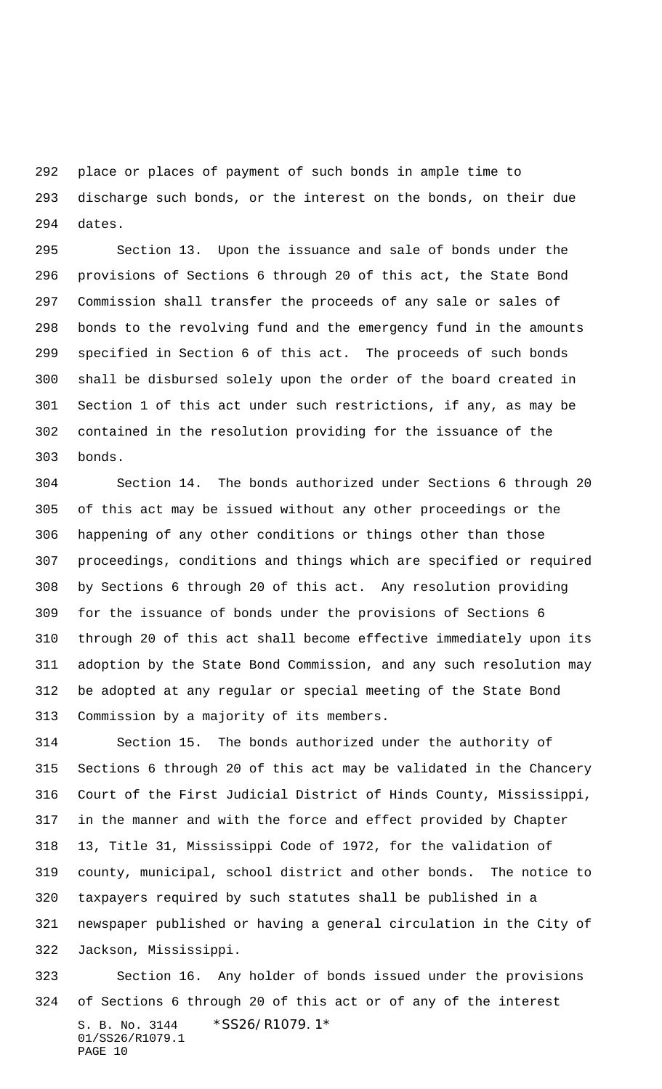place or places of payment of such bonds in ample time to discharge such bonds, or the interest on the bonds, on their due dates.

 Section 13. Upon the issuance and sale of bonds under the provisions of Sections 6 through 20 of this act, the State Bond Commission shall transfer the proceeds of any sale or sales of bonds to the revolving fund and the emergency fund in the amounts specified in Section 6 of this act. The proceeds of such bonds shall be disbursed solely upon the order of the board created in Section 1 of this act under such restrictions, if any, as may be contained in the resolution providing for the issuance of the bonds.

 Section 14. The bonds authorized under Sections 6 through 20 of this act may be issued without any other proceedings or the happening of any other conditions or things other than those proceedings, conditions and things which are specified or required by Sections 6 through 20 of this act. Any resolution providing for the issuance of bonds under the provisions of Sections 6 through 20 of this act shall become effective immediately upon its adoption by the State Bond Commission, and any such resolution may be adopted at any regular or special meeting of the State Bond Commission by a majority of its members.

 Section 15. The bonds authorized under the authority of Sections 6 through 20 of this act may be validated in the Chancery Court of the First Judicial District of Hinds County, Mississippi, in the manner and with the force and effect provided by Chapter 13, Title 31, Mississippi Code of 1972, for the validation of county, municipal, school district and other bonds. The notice to taxpayers required by such statutes shall be published in a newspaper published or having a general circulation in the City of Jackson, Mississippi.

S. B. No. 3144 \*SS26/R1079.1\* 01/SS26/R1079.1 PAGE 10 Section 16. Any holder of bonds issued under the provisions of Sections 6 through 20 of this act or of any of the interest